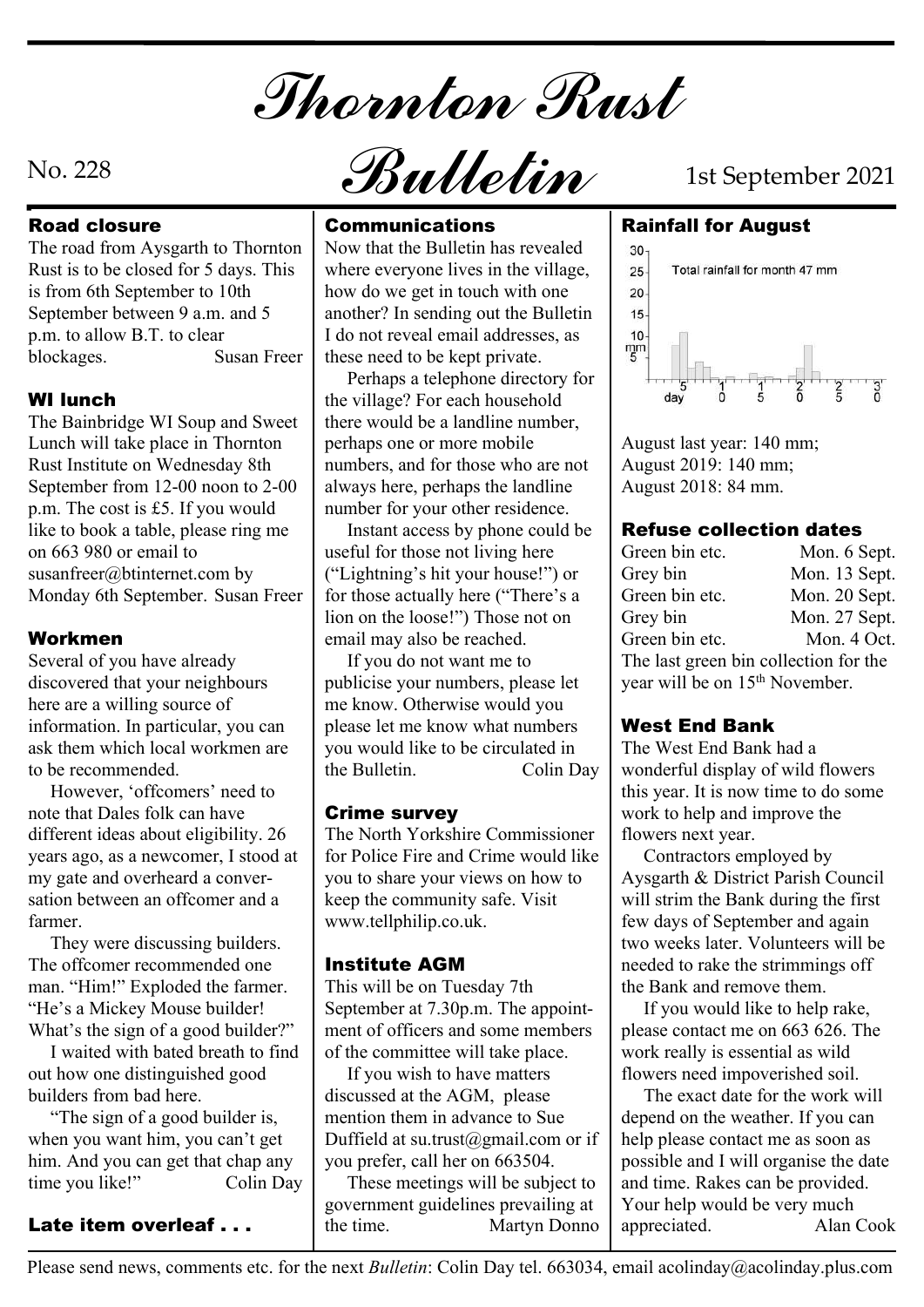Thornton Rust

The road from Aysgarth to Thornton Rust is to be closed for 5 days. This is from 6th September to 10th September between 9 a.m. and 5 p.m. to allow B.T. to clear

The Bainbridge WI Soup and Sweet Lunch will take place in Thornton Rust Institute on Wednesday 8th September from 12-00 noon to 2-00 p.m. The cost is £5. If you would like to book a table, please ring me on 663 980 or email to susanfreer@btinternet.com by Monday 6th September. Susan Freer

Several of you have already discovered that your neighbours here are a willing source of information. In particular, you can ask them which local workmen are to be recommended.

 However, 'offcomers' need to note that Dales folk can have different ideas about eligibility. 26 years ago, as a newcomer, I stood at my gate and overheard a conversation between an offcomer and a farmer.

 They were discussing builders. The offcomer recommended one **Institute AGM** man. "Him!" Exploded the farmer. "He's a Mickey Mouse builder! What's the sign of a good builder?"

 I waited with bated breath to find out how one distinguished good builders from bad here.

 "The sign of a good builder is, when you want him, you can't get him. And you can get that chap any

Late item overleaf . . . I the time.

No. 228  $\mathcal{B}$ ulletin 1st September 2021

### Road closure **Road** closure **Road** closure

blockages. Susan Freer | these need to be kept private. Now that the Bulletin has revealed  $\frac{1}{30}$ where everyone lives in the village,  $\begin{vmatrix} 25 & \text{Total rainfall for month } 47 \text{ mm} \end{vmatrix}$ how do we get in touch with one 20another? In sending out the Bulletin | 15-I do not reveal email addresses, as  $\begin{array}{c|c} 10 \\ \text{mm} \\ \text{times} \end{array}$ 

**WI lunch**  $\left| \text{ the village? For each household} \right|$   $\left| \text{day} \right|$  Perhaps a telephone directory for there would be a landline number, perhaps one or more mobile numbers, and for those who are not always here, perhaps the landline number for your other residence.

**Workmen** | email may also be reached. | Gre Instant access by phone could be useful for those not living here ("Lightning's hit your house!") or for those actually here ("There's a lion on the loose!") Those not on

> If you do not want me to publicise your numbers, please let me know. Otherwise would you please let me know what numbers you would like to be circulated in the Bulletin. Colin Day wonderful display of wild flowers

# Crime survey

The North Yorkshire Commissioner for Police Fire and Crime would like you to share your views on how to keep the community safe. Visit www.tellphilip.co.uk.

This will be on Tuesday 7th September at 7.30p.m. The appointment of officers and some members of the committee will take place.

 If you wish to have matters discussed at the AGM, please mention them in advance to Sue Duffield at su.trust@gmail.com or if you prefer, call her on 663504.

time you like!" Colin Day | These meetings will be subject to | and time. Rak government guidelines prevailing at

### Communications Rainfall for August



August last year: 140 mm; August 2019: 140 mm; August 2018: 84 mm.

# Refuse collection dates

| Green bin etc.                             | Mon. 6 Sept.  |
|--------------------------------------------|---------------|
| Grey bin                                   | Mon. 13 Sept. |
| Green bin etc.                             | Mon. 20 Sept. |
| Grey bin                                   | Mon. 27 Sept. |
| Green bin etc.                             | Mon. 4 Oct.   |
| The last green bin collection for the      |               |
| year will be on 15 <sup>th</sup> November. |               |

# West End Bank

The West End Bank had a this year. It is now time to do some work to help and improve the flowers next year.

Institute AGM and a line reded to rake the strimmings off and  $\vert$  needed to rake the strimmings off Contractors employed by Aysgarth & District Parish Council will strim the Bank during the first few days of September and again two weeks later. Volunteers will be the Bank and remove them.

> If you would like to help rake, please contact me on 663 626. The work really is essential as wild flowers need impoverished soil.

Martyn Donno | appreciated. Alan Cook The exact date for the work will depend on the weather. If you can help please contact me as soon as possible and I will organise the date and time. Rakes can be provided. Your help would be very much appreciated.

Please send news, comments etc. for the next *Bulletin*: Colin Day tel. 663034, email acolinday@acolinday.plus.com